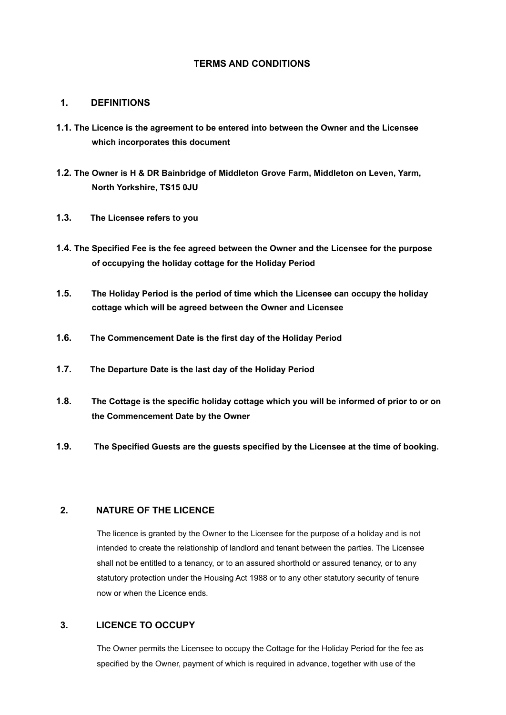# **TERMS AND CONDITIONS**

#### **1. DEFINITIONS**

- **1.1. The Licence is the agreement to be entered into between the Owner and the Licensee which incorporates this document**
- **1.2. The Owner is H & DR Bainbridge of Middleton Grove Farm, Middleton on Leven, Yarm, North Yorkshire, TS15 0JU**
- **1.3. The Licensee refers to you**
- **1.4. The Specified Fee is the fee agreed between the Owner and the Licensee for the purpose of occupying the holiday cottage for the Holiday Period**
- **1.5. The Holiday Period is the period of time which the Licensee can occupy the holiday cottage which will be agreed between the Owner and Licensee**
- **1.6. The Commencement Date is the first day of the Holiday Period**
- **1.7. The Departure Date is the last day of the Holiday Period**
- **1.8. The Cottage is the specific holiday cottage which you will be informed of prior to or on the Commencement Date by the Owner**
- **1.9. The Specified Guests are the guests specified by the Licensee at the time of booking.**

# **2. NATURE OF THE LICENCE**

The licence is granted by the Owner to the Licensee for the purpose of a holiday and is not intended to create the relationship of landlord and tenant between the parties. The Licensee shall not be entitled to a tenancy, or to an assured shorthold or assured tenancy, or to any statutory protection under the Housing Act 1988 or to any other statutory security of tenure now or when the Licence ends.

### **3. LICENCE TO OCCUPY**

The Owner permits the Licensee to occupy the Cottage for the Holiday Period for the fee as specified by the Owner, payment of which is required in advance, together with use of the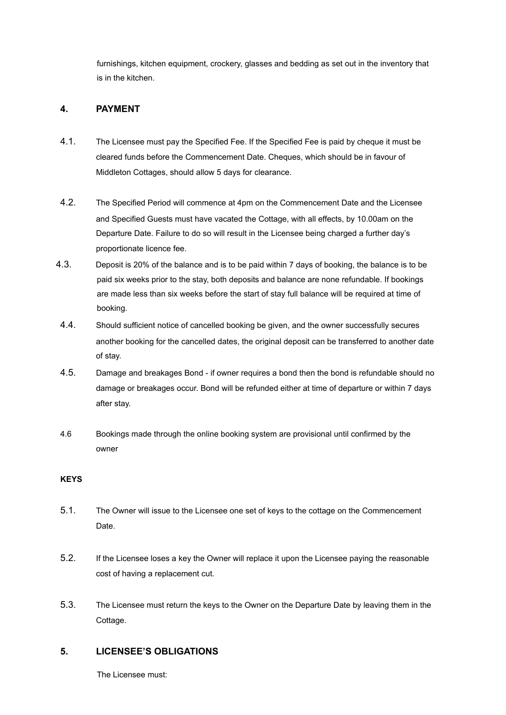furnishings, kitchen equipment, crockery, glasses and bedding as set out in the inventory that is in the kitchen.

# **4. PAYMENT**

- 4.1. The Licensee must pay the Specified Fee. If the Specified Fee is paid by cheque it must be cleared funds before the Commencement Date. Cheques, which should be in favour of Middleton Cottages, should allow 5 days for clearance.
- 4.2. The Specified Period will commence at 4pm on the Commencement Date and the Licensee and Specified Guests must have vacated the Cottage, with all effects, by 10.00am on the Departure Date. Failure to do so will result in the Licensee being charged a further day's proportionate licence fee.
- 4.3. Deposit is 20% of the balance and is to be paid within 7 days of booking, the balance is to be paid six weeks prior to the stay, both deposits and balance are none refundable. If bookings are made less than six weeks before the start of stay full balance will be required at time of booking.
- 4.4. Should sufficient notice of cancelled booking be given, and the owner successfully secures another booking for the cancelled dates, the original deposit can be transferred to another date of stay.
- 4.5. Damage and breakages Bond if owner requires a bond then the bond is refundable should no damage or breakages occur. Bond will be refunded either at time of departure or within 7 days after stay.
- 4.6 Bookings made through the online booking system are provisional until confirmed by the owner

### **KEYS**

- 5.1. The Owner will issue to the Licensee one set of keys to the cottage on the Commencement Date.
- 5.2. If the Licensee loses a key the Owner will replace it upon the Licensee paying the reasonable cost of having a replacement cut.
- 5.3. The Licensee must return the keys to the Owner on the Departure Date by leaving them in the Cottage.

### **5. LICENSEE'S OBLIGATIONS**

The Licensee must: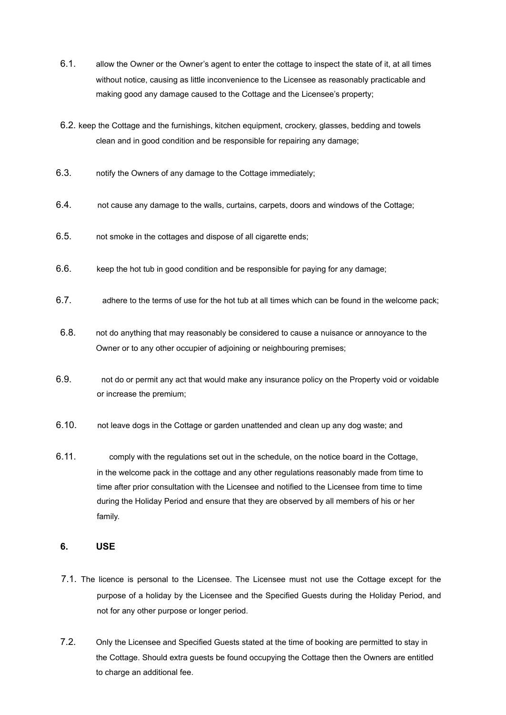- 6.1. allow the Owner or the Owner's agent to enter the cottage to inspect the state of it, at all times without notice, causing as little inconvenience to the Licensee as reasonably practicable and making good any damage caused to the Cottage and the Licensee's property;
- 6.2. keep the Cottage and the furnishings, kitchen equipment, crockery, glasses, bedding and towels clean and in good condition and be responsible for repairing any damage;
- 6.3. notify the Owners of any damage to the Cottage immediately;
- 6.4. not cause any damage to the walls, curtains, carpets, doors and windows of the Cottage;
- 6.5. not smoke in the cottages and dispose of all cigarette ends;
- 6.6. keep the hot tub in good condition and be responsible for paying for any damage;
- 6.7. adhere to the terms of use for the hot tub at all times which can be found in the welcome pack;
- 6.8. not do anything that may reasonably be considered to cause a nuisance or annoyance to the Owner or to any other occupier of adjoining or neighbouring premises;
- 6.9. not do or permit any act that would make any insurance policy on the Property void or voidable or increase the premium;
- 6.10. not leave dogs in the Cottage or garden unattended and clean up any dog waste; and
- 6.11. comply with the regulations set out in the schedule, on the notice board in the Cottage, in the welcome pack in the cottage and any other regulations reasonably made from time to time after prior consultation with the Licensee and notified to the Licensee from time to time during the Holiday Period and ensure that they are observed by all members of his or her family.

## **6. USE**

- 7.1. The licence is personal to the Licensee. The Licensee must not use the Cottage except for the purpose of a holiday by the Licensee and the Specified Guests during the Holiday Period, and not for any other purpose or longer period.
- 7.2. Only the Licensee and Specified Guests stated at the time of booking are permitted to stay in the Cottage. Should extra guests be found occupying the Cottage then the Owners are entitled to charge an additional fee.